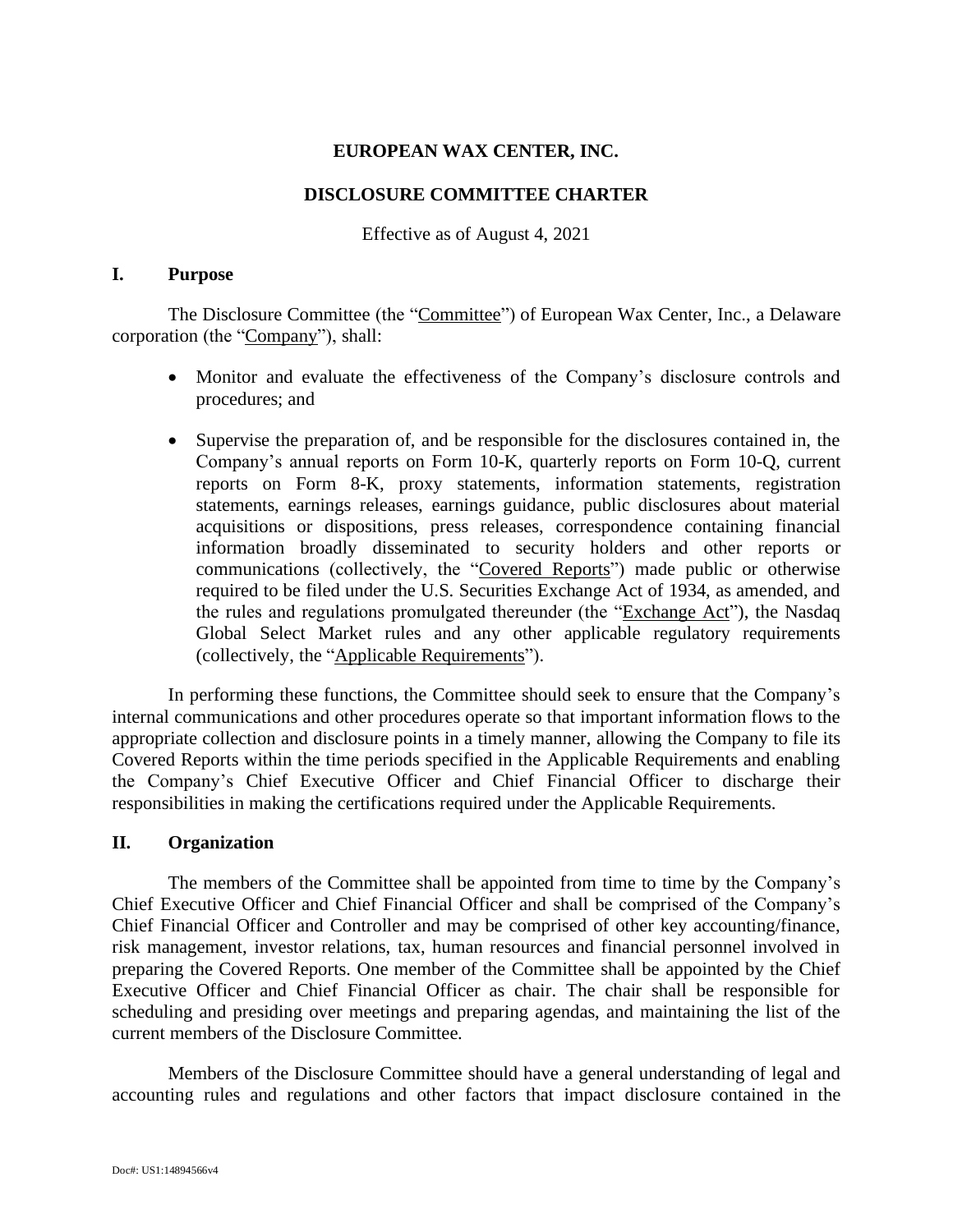# **EUROPEAN WAX CENTER, INC.**

## **DISCLOSURE COMMITTEE CHARTER**

Effective as of August 4, 2021

## **I. Purpose**

The Disclosure Committee (the "Committee") of European Wax Center, Inc., a Delaware corporation (the "Company"), shall:

- Monitor and evaluate the effectiveness of the Company's disclosure controls and procedures; and
- Supervise the preparation of, and be responsible for the disclosures contained in, the Company's annual reports on Form 10-K, quarterly reports on Form 10-Q, current reports on Form 8-K, proxy statements, information statements, registration statements, earnings releases, earnings guidance, public disclosures about material acquisitions or dispositions, press releases, correspondence containing financial information broadly disseminated to security holders and other reports or communications (collectively, the "Covered Reports") made public or otherwise required to be filed under the U.S. Securities Exchange Act of 1934, as amended, and the rules and regulations promulgated thereunder (the "Exchange Act"), the Nasdaq Global Select Market rules and any other applicable regulatory requirements (collectively, the "Applicable Requirements").

In performing these functions, the Committee should seek to ensure that the Company's internal communications and other procedures operate so that important information flows to the appropriate collection and disclosure points in a timely manner, allowing the Company to file its Covered Reports within the time periods specified in the Applicable Requirements and enabling the Company's Chief Executive Officer and Chief Financial Officer to discharge their responsibilities in making the certifications required under the Applicable Requirements.

# **II. Organization**

The members of the Committee shall be appointed from time to time by the Company's Chief Executive Officer and Chief Financial Officer and shall be comprised of the Company's Chief Financial Officer and Controller and may be comprised of other key accounting/finance, risk management, investor relations, tax, human resources and financial personnel involved in preparing the Covered Reports. One member of the Committee shall be appointed by the Chief Executive Officer and Chief Financial Officer as chair. The chair shall be responsible for scheduling and presiding over meetings and preparing agendas, and maintaining the list of the current members of the Disclosure Committee.

Members of the Disclosure Committee should have a general understanding of legal and accounting rules and regulations and other factors that impact disclosure contained in the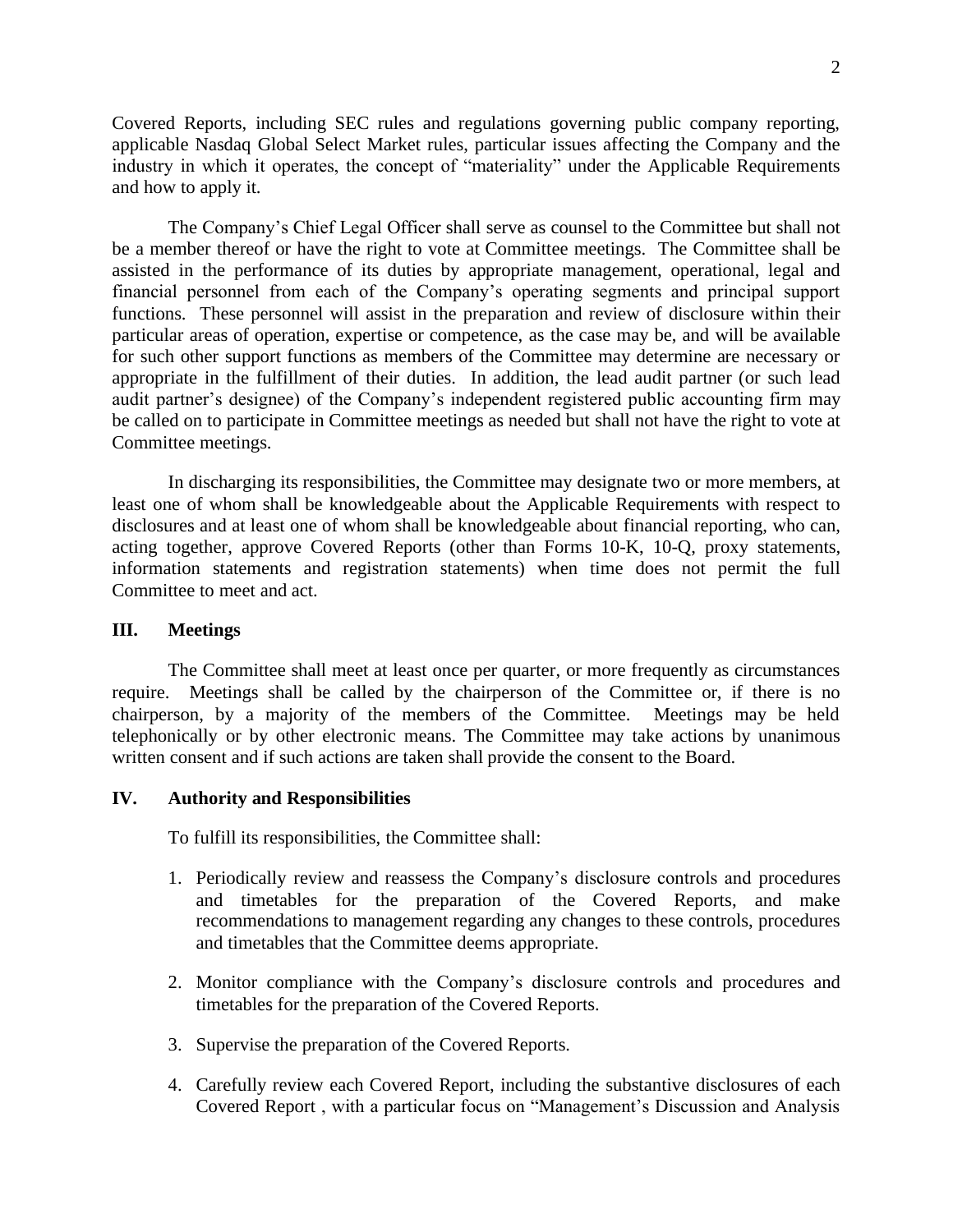Covered Reports, including SEC rules and regulations governing public company reporting, applicable Nasdaq Global Select Market rules, particular issues affecting the Company and the industry in which it operates, the concept of "materiality" under the Applicable Requirements and how to apply it.

The Company's Chief Legal Officer shall serve as counsel to the Committee but shall not be a member thereof or have the right to vote at Committee meetings. The Committee shall be assisted in the performance of its duties by appropriate management, operational, legal and financial personnel from each of the Company's operating segments and principal support functions. These personnel will assist in the preparation and review of disclosure within their particular areas of operation, expertise or competence, as the case may be, and will be available for such other support functions as members of the Committee may determine are necessary or appropriate in the fulfillment of their duties. In addition, the lead audit partner (or such lead audit partner's designee) of the Company's independent registered public accounting firm may be called on to participate in Committee meetings as needed but shall not have the right to vote at Committee meetings.

In discharging its responsibilities, the Committee may designate two or more members, at least one of whom shall be knowledgeable about the Applicable Requirements with respect to disclosures and at least one of whom shall be knowledgeable about financial reporting, who can, acting together, approve Covered Reports (other than Forms 10-K, 10-Q, proxy statements, information statements and registration statements) when time does not permit the full Committee to meet and act.

#### **III. Meetings**

The Committee shall meet at least once per quarter, or more frequently as circumstances require. Meetings shall be called by the chairperson of the Committee or, if there is no chairperson, by a majority of the members of the Committee. Meetings may be held telephonically or by other electronic means. The Committee may take actions by unanimous written consent and if such actions are taken shall provide the consent to the Board.

## **IV. Authority and Responsibilities**

To fulfill its responsibilities, the Committee shall:

- 1. Periodically review and reassess the Company's disclosure controls and procedures and timetables for the preparation of the Covered Reports, and make recommendations to management regarding any changes to these controls, procedures and timetables that the Committee deems appropriate.
- 2. Monitor compliance with the Company's disclosure controls and procedures and timetables for the preparation of the Covered Reports.
- 3. Supervise the preparation of the Covered Reports.
- 4. Carefully review each Covered Report, including the substantive disclosures of each Covered Report , with a particular focus on "Management's Discussion and Analysis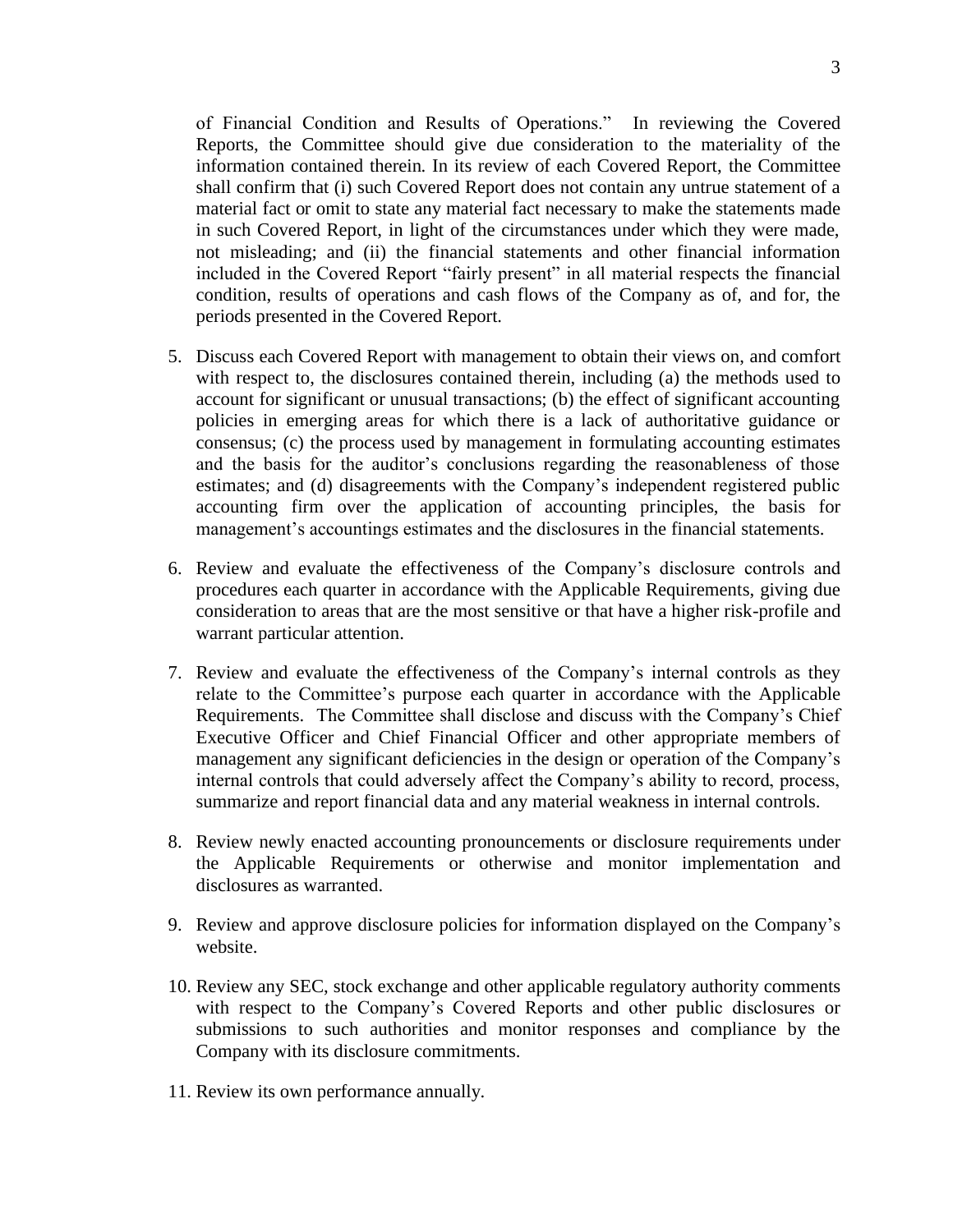of Financial Condition and Results of Operations." In reviewing the Covered Reports, the Committee should give due consideration to the materiality of the information contained therein. In its review of each Covered Report, the Committee shall confirm that (i) such Covered Report does not contain any untrue statement of a material fact or omit to state any material fact necessary to make the statements made in such Covered Report, in light of the circumstances under which they were made, not misleading; and (ii) the financial statements and other financial information included in the Covered Report "fairly present" in all material respects the financial condition, results of operations and cash flows of the Company as of, and for, the periods presented in the Covered Report.

- 5. Discuss each Covered Report with management to obtain their views on, and comfort with respect to, the disclosures contained therein, including (a) the methods used to account for significant or unusual transactions; (b) the effect of significant accounting policies in emerging areas for which there is a lack of authoritative guidance or consensus; (c) the process used by management in formulating accounting estimates and the basis for the auditor's conclusions regarding the reasonableness of those estimates; and (d) disagreements with the Company's independent registered public accounting firm over the application of accounting principles, the basis for management's accountings estimates and the disclosures in the financial statements.
- 6. Review and evaluate the effectiveness of the Company's disclosure controls and procedures each quarter in accordance with the Applicable Requirements, giving due consideration to areas that are the most sensitive or that have a higher risk-profile and warrant particular attention.
- 7. Review and evaluate the effectiveness of the Company's internal controls as they relate to the Committee's purpose each quarter in accordance with the Applicable Requirements. The Committee shall disclose and discuss with the Company's Chief Executive Officer and Chief Financial Officer and other appropriate members of management any significant deficiencies in the design or operation of the Company's internal controls that could adversely affect the Company's ability to record, process, summarize and report financial data and any material weakness in internal controls.
- 8. Review newly enacted accounting pronouncements or disclosure requirements under the Applicable Requirements or otherwise and monitor implementation and disclosures as warranted.
- 9. Review and approve disclosure policies for information displayed on the Company's website.
- 10. Review any SEC, stock exchange and other applicable regulatory authority comments with respect to the Company's Covered Reports and other public disclosures or submissions to such authorities and monitor responses and compliance by the Company with its disclosure commitments.
- 11. Review its own performance annually.